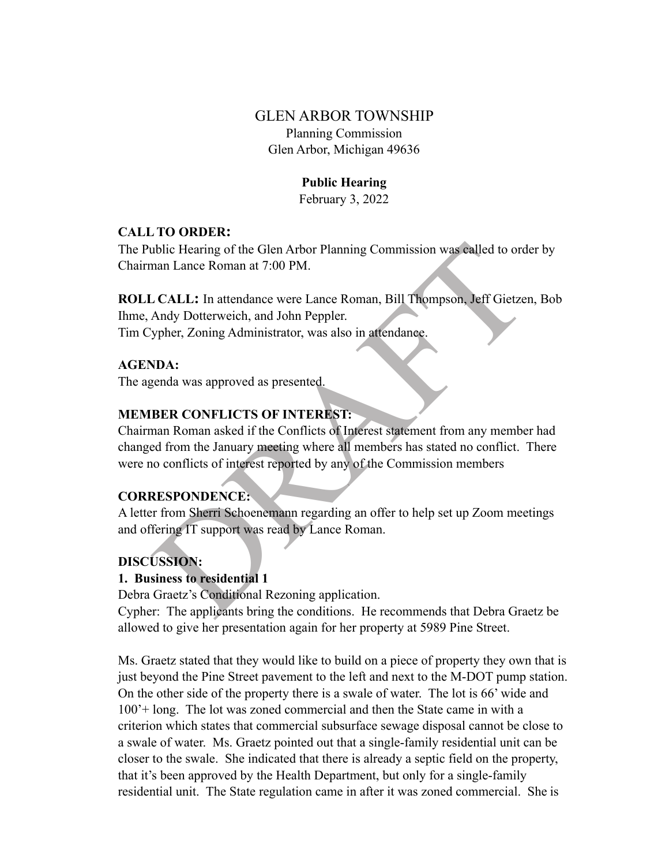# GLEN ARBOR TOWNSHIP Planning Commission Glen Arbor, Michigan 49636

## **Public Hearing**

February 3, 2022

### **CALL TO ORDER:**

The Public Hearing of the Glen Arbor Planning Commission was called to order by Chairman Lance Roman at 7:00 PM.

**ROLL CALL:** In attendance were Lance Roman, Bill Thompson, Jeff Gietzen, Bob Ihme, Andy Dotterweich, and John Peppler. Tim Cypher, Zoning Administrator, was also in attendance.

## **AGENDA:**

The agenda was approved as presented.

## **MEMBER CONFLICTS OF INTEREST:**

ublic Hearing of the Glen Arbor Planning Commission was called to order<br>
ann Lance Roman at 7:00 PM.<br>
LCALL: In attendance were Lance Roman, Bill Thompson, Jeff Gietzer<br>
Andy Dotterweich, and John Peppler.<br>
Sill Thompson, Chairman Roman asked if the Conflicts of Interest statement from any member had changed from the January meeting where all members has stated no conflict. There were no conflicts of interest reported by any of the Commission members

### **CORRESPONDENCE:**

A letter from Sherri Schoenemann regarding an offer to help set up Zoom meetings and offering IT support was read by Lance Roman.

## **DISCUSSION:**

## **1. Business to residential 1**

Debra Graetz's Conditional Rezoning application.

Cypher: The applicants bring the conditions. He recommends that Debra Graetz be allowed to give her presentation again for her property at 5989 Pine Street.

Ms. Graetz stated that they would like to build on a piece of property they own that is just beyond the Pine Street pavement to the left and next to the M-DOT pump station. On the other side of the property there is a swale of water. The lot is 66' wide and 100'+ long. The lot was zoned commercial and then the State came in with a criterion which states that commercial subsurface sewage disposal cannot be close to a swale of water. Ms. Graetz pointed out that a single-family residential unit can be closer to the swale. She indicated that there is already a septic field on the property, that it's been approved by the Health Department, but only for a single-family residential unit. The State regulation came in after it was zoned commercial. She is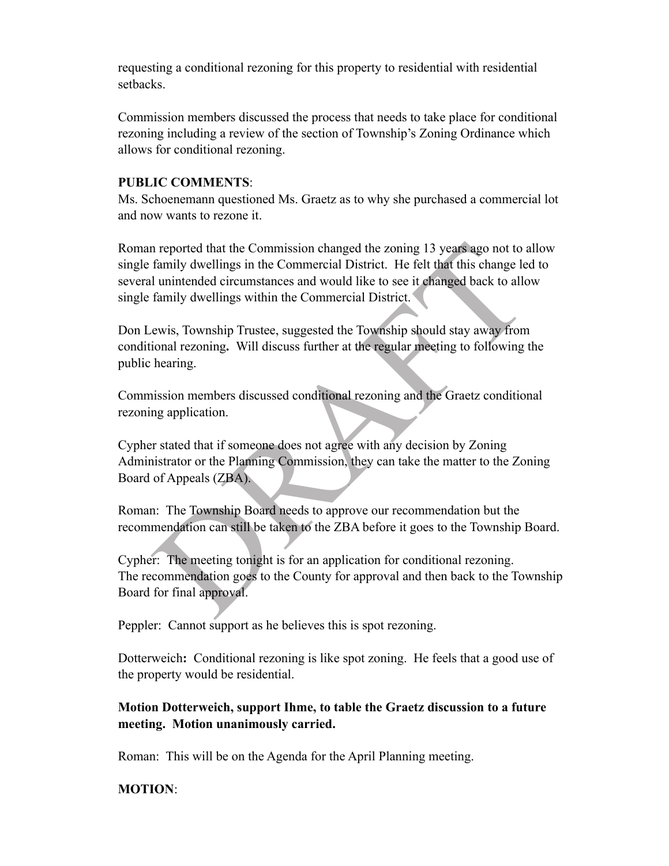requesting a conditional rezoning for this property to residential with residential setbacks.

Commission members discussed the process that needs to take place for conditional rezoning including a review of the section of Township's Zoning Ordinance which allows for conditional rezoning.

#### **PUBLIC COMMENTS**:

Ms. Schoenemann questioned Ms. Graetz as to why she purchased a commercial lot and now wants to rezone it.

In a proported that the Commission changed the zoning 13 years ago not to a family dwellings in the Commercial District. He felt that this change led unintended circumstances and would like to see it changed back to allo f Roman reported that the Commission changed the zoning 13 years ago not to allow single family dwellings in the Commercial District. He felt that this change led to several unintended circumstances and would like to see it changed back to allow single family dwellings within the Commercial District.

Don Lewis, Township Trustee, suggested the Township should stay away from conditional rezoning**.** Will discuss further at the regular meeting to following the public hearing.

Commission members discussed conditional rezoning and the Graetz conditional rezoning application.

Cypher stated that if someone does not agree with any decision by Zoning Administrator or the Planning Commission, they can take the matter to the Zoning Board of Appeals (ZBA).

Roman: The Township Board needs to approve our recommendation but the recommendation can still be taken to the ZBA before it goes to the Township Board.

Cypher:The meeting tonight is for an application for conditional rezoning. The recommendation goes to the County for approval and then back to the Township Board for final approval.

Peppler: Cannot support as he believes this is spot rezoning.

Dotterweich**:** Conditional rezoning is like spot zoning. He feels that a good use of the property would be residential.

## **Motion Dotterweich, support Ihme, to table the Graetz discussion to a future meeting. Motion unanimously carried.**

Roman: This will be on the Agenda for the April Planning meeting.

### **MOTION**: